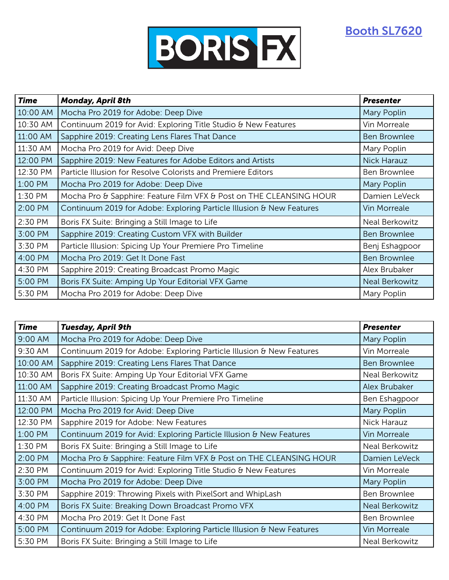[Booth SL7620](https://nab19.mapyourshow.com/8_0/floorplan/?hallID=D&selectedBooth=SL7620)



| <b>Time</b> | <b>Monday, April 8th</b>                                             | <b>Presenter</b>      |
|-------------|----------------------------------------------------------------------|-----------------------|
| 10:00 AM    | Mocha Pro 2019 for Adobe: Deep Dive                                  | Mary Poplin           |
| 10:30 AM    | Continuum 2019 for Avid: Exploring Title Studio & New Features       | Vin Morreale          |
| 11:00 AM    | Sapphire 2019: Creating Lens Flares That Dance                       | <b>Ben Brownlee</b>   |
| 11:30 AM    | Mocha Pro 2019 for Avid: Deep Dive                                   | Mary Poplin           |
| 12:00 PM    | Sapphire 2019: New Features for Adobe Editors and Artists            | <b>Nick Harauz</b>    |
| 12:30 PM    | Particle Illusion for Resolve Colorists and Premiere Editors         | Ben Brownlee          |
| 1:00 PM     | Mocha Pro 2019 for Adobe: Deep Dive                                  | Mary Poplin           |
| 1:30 PM     | Mocha Pro & Sapphire: Feature Film VFX & Post on THE CLEANSING HOUR  | Damien LeVeck         |
| 2:00 PM     | Continuum 2019 for Adobe: Exploring Particle Illusion & New Features | Vin Morreale          |
| 2:30 PM     | Boris FX Suite: Bringing a Still Image to Life                       | Neal Berkowitz        |
| 3:00 PM     | Sapphire 2019: Creating Custom VFX with Builder                      | <b>Ben Brownlee</b>   |
| 3:30 PM     | Particle Illusion: Spicing Up Your Premiere Pro Timeline             | Benj Eshagpoor        |
| 4:00 PM     | Mocha Pro 2019: Get It Done Fast                                     | <b>Ben Brownlee</b>   |
| 4:30 PM     | Sapphire 2019: Creating Broadcast Promo Magic                        | Alex Brubaker         |
| 5:00 PM     | Boris FX Suite: Amping Up Your Editorial VFX Game                    | <b>Neal Berkowitz</b> |
| 5:30 PM     | Mocha Pro 2019 for Adobe: Deep Dive                                  | Mary Poplin           |

| <b>Time</b> | <b>Tuesday, April 9th</b>                                            | <b>Presenter</b>    |
|-------------|----------------------------------------------------------------------|---------------------|
| 9:00 AM     | Mocha Pro 2019 for Adobe: Deep Dive                                  | Mary Poplin         |
| 9:30 AM     | Continuum 2019 for Adobe: Exploring Particle Illusion & New Features | Vin Morreale        |
| 10:00 AM    | Sapphire 2019: Creating Lens Flares That Dance                       | <b>Ben Brownlee</b> |
| 10:30 AM    | Boris FX Suite: Amping Up Your Editorial VFX Game                    | Neal Berkowitz      |
| 11:00 AM    | Sapphire 2019: Creating Broadcast Promo Magic                        | Alex Brubaker       |
| 11:30 AM    | Particle Illusion: Spicing Up Your Premiere Pro Timeline             | Ben Eshagpoor       |
| 12:00 PM    | Mocha Pro 2019 for Avid: Deep Dive                                   | Mary Poplin         |
| 12:30 PM    | Sapphire 2019 for Adobe: New Features                                | Nick Harauz         |
| 1:00 PM     | Continuum 2019 for Avid: Exploring Particle Illusion & New Features  | Vin Morreale        |
| 1:30 PM     | Boris FX Suite: Bringing a Still Image to Life                       | Neal Berkowitz      |
| 2:00 PM     | Mocha Pro & Sapphire: Feature Film VFX & Post on THE CLEANSING HOUR  | Damien LeVeck       |
| 2:30 PM     | Continuum 2019 for Avid: Exploring Title Studio & New Features       | Vin Morreale        |
| 3:00 PM     | Mocha Pro 2019 for Adobe: Deep Dive                                  | Mary Poplin         |
| 3:30 PM     | Sapphire 2019: Throwing Pixels with PixelSort and WhipLash           | Ben Brownlee        |
| 4:00 PM     | Boris FX Suite: Breaking Down Broadcast Promo VFX                    | Neal Berkowitz      |
| 4:30 PM     | Mocha Pro 2019: Get It Done Fast                                     | Ben Brownlee        |
| 5:00 PM     | Continuum 2019 for Adobe: Exploring Particle Illusion & New Features | Vin Morreale        |
| 5:30 PM     | Boris FX Suite: Bringing a Still Image to Life                       | Neal Berkowitz      |